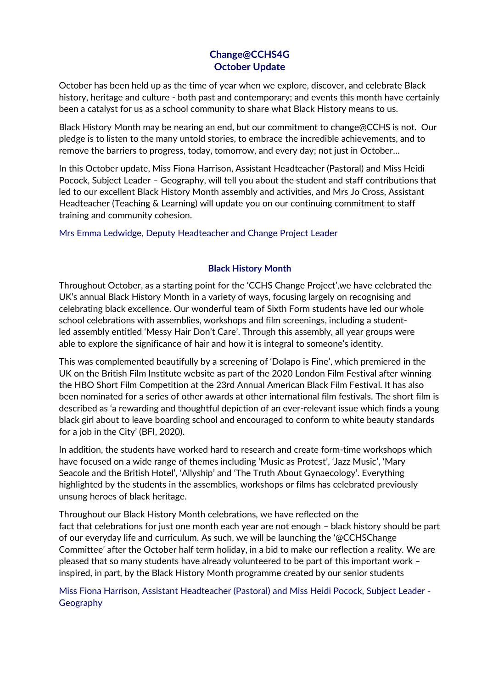## **Change@CCHS4G October Update**

October has been held up as the time of year when we explore, discover, and celebrate Black history, heritage and culture - both past and contemporary; and events this month have certainly been a catalyst for us as a school community to share what Black History means to us.

Black History Month may be nearing an end, but our commitment to change@CCHS is not. Our pledge is to listen to the many untold stories, to embrace the incredible achievements, and to remove the barriers to progress, today, tomorrow, and every day; not just in October…

In this October update, Miss Fiona Harrison, Assistant Headteacher (Pastoral) and Miss Heidi Pocock, Subject Leader – Geography, will tell you about the student and staff contributions that led to our excellent Black History Month assembly and activities, and Mrs Jo Cross, Assistant Headteacher (Teaching & Learning) will update you on our continuing commitment to staff training and community cohesion.

Mrs Emma Ledwidge, Deputy Headteacher and Change Project Leader

## **Black History Month**

Throughout October, as a starting point for the 'CCHS Change Project',we have celebrated the UK's annual Black History Month in a variety of ways, focusing largely on recognising and celebrating black excellence. Our wonderful team of Sixth Form students have led our whole school celebrations with assemblies, workshops and film screenings, including a studentled assembly entitled 'Messy Hair Don't Care'. Through this assembly, all year groups were able to explore the significance of hair and how it is integral to someone's identity.

This was complemented beautifully by a screening of 'Dolapo is Fine', which premiered in the UK on the British Film Institute website as part of the [2020 London](outlook-data-detector://0/) Film Festival after winning the HBO Short Film Competition at the 23rd Annual American Black Film Festival. It has also been nominated for a series of other awards at other international film festivals. The short film is described as 'a rewarding and thoughtful depiction of an ever-relevant issue which finds a young black girl about to leave boarding school and encouraged to conform to white beauty standards for a job in the City' (BFI, 2020).

In addition, the students have worked hard to research and create form-time workshops which have focused on a wide range of themes including 'Music as Protest', 'Jazz Music', 'Mary Seacole and the British Hotel', 'Allyship' and 'The Truth About Gynaecology'. Everything highlighted by the students in the assemblies, workshops or films has celebrated previously unsung heroes of black heritage.

Throughout our Black History Month celebrations, we have reflected on the fact that celebrations for just one month each year are not enough – black history should be part of our everyday life and curriculum. As such, we will be launching the '@CCHSChange Committee' after the October half term holiday, in a bid to make our reflection a reality. We are pleased that so many students have already volunteered to be part of this important work – inspired, in part, by the Black History Month programme created by our senior students

Miss Fiona Harrison, Assistant Headteacher (Pastoral) and Miss Heidi Pocock, Subject Leader - Geography